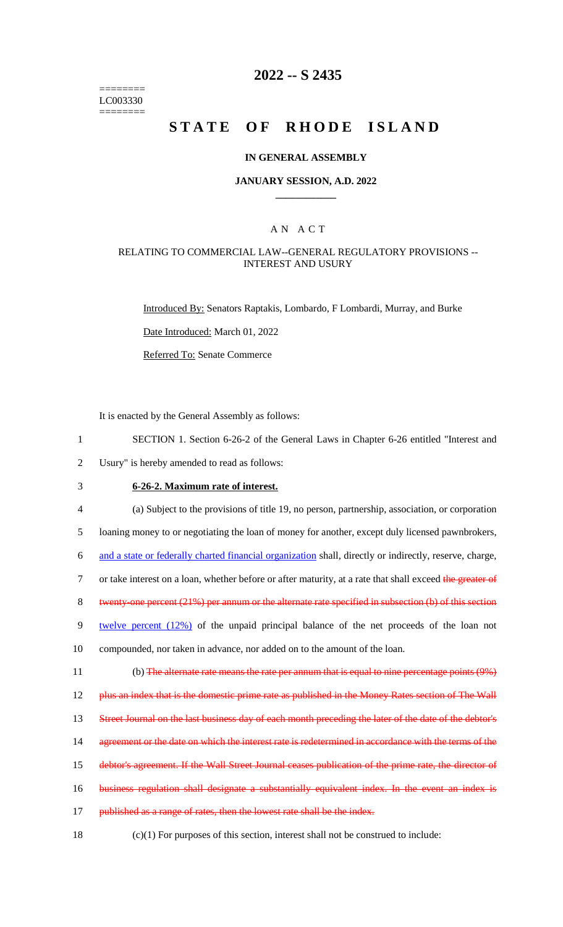======== LC003330 ========

## **2022 -- S 2435**

# **STATE OF RHODE ISLAND**

#### **IN GENERAL ASSEMBLY**

#### **JANUARY SESSION, A.D. 2022 \_\_\_\_\_\_\_\_\_\_\_\_**

### A N A C T

#### RELATING TO COMMERCIAL LAW--GENERAL REGULATORY PROVISIONS -- INTEREST AND USURY

Introduced By: Senators Raptakis, Lombardo, F Lombardi, Murray, and Burke

Date Introduced: March 01, 2022

Referred To: Senate Commerce

It is enacted by the General Assembly as follows:

- 1 SECTION 1. Section 6-26-2 of the General Laws in Chapter 6-26 entitled "Interest and
- 2 Usury" is hereby amended to read as follows:

# 3 **6-26-2. Maximum rate of interest.**

4 (a) Subject to the provisions of title 19, no person, partnership, association, or corporation

5 loaning money to or negotiating the loan of money for another, except duly licensed pawnbrokers,

6 and a state or federally charted financial organization shall, directly or indirectly, reserve, charge,

7 or take interest on a loan, whether before or after maturity, at a rate that shall exceed the greater of

8 twenty-one percent (21%) per annum or the alternate rate specified in subsection (b) of this section

9 twelve percent (12%) of the unpaid principal balance of the net proceeds of the loan not

10 compounded, nor taken in advance, nor added on to the amount of the loan.

11 (b) The alternate rate means the rate per annum that is equal to nine percentage points (9%)

12 plus an index that is the domestic prime rate as published in the Money Rates section of The Wall

13 Street Journal on the last business day of each month preceding the later of the date of the debtor's

- 14 agreement or the date on which the interest rate is redetermined in accordance with the terms of the
- 15 debtor's agreement. If the Wall Street Journal ceases publication of the prime rate, the director of
- 16 business regulation shall designate a substantially equivalent index. In the event an index is
- 17 published as a range of rates, then the lowest rate shall be the index.
- 18 (c)(1) For purposes of this section, interest shall not be construed to include: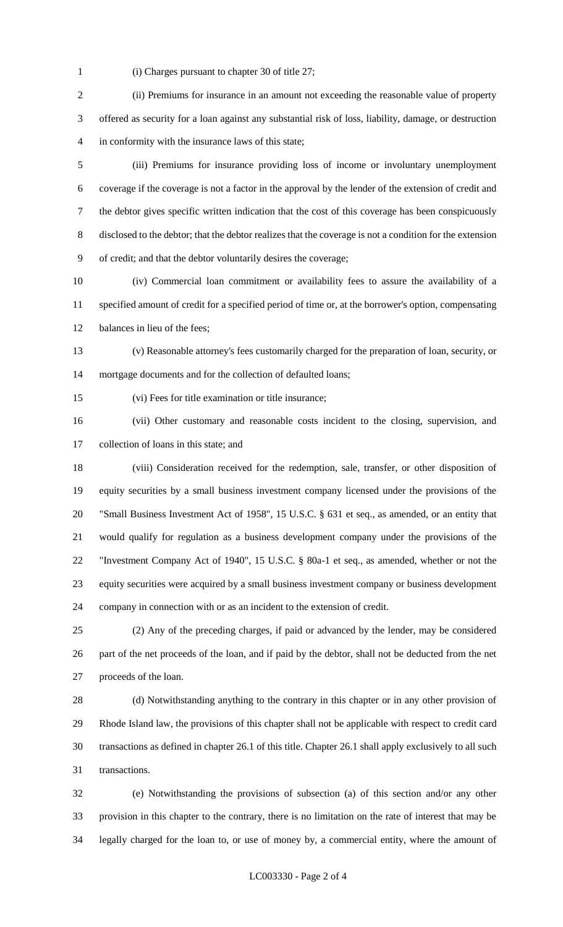(i) Charges pursuant to chapter 30 of title 27;

 (ii) Premiums for insurance in an amount not exceeding the reasonable value of property offered as security for a loan against any substantial risk of loss, liability, damage, or destruction in conformity with the insurance laws of this state;

 (iii) Premiums for insurance providing loss of income or involuntary unemployment coverage if the coverage is not a factor in the approval by the lender of the extension of credit and the debtor gives specific written indication that the cost of this coverage has been conspicuously disclosed to the debtor; that the debtor realizes that the coverage is not a condition for the extension of credit; and that the debtor voluntarily desires the coverage;

 (iv) Commercial loan commitment or availability fees to assure the availability of a specified amount of credit for a specified period of time or, at the borrower's option, compensating balances in lieu of the fees;

 (v) Reasonable attorney's fees customarily charged for the preparation of loan, security, or mortgage documents and for the collection of defaulted loans;

(vi) Fees for title examination or title insurance;

 (vii) Other customary and reasonable costs incident to the closing, supervision, and collection of loans in this state; and

 (viii) Consideration received for the redemption, sale, transfer, or other disposition of equity securities by a small business investment company licensed under the provisions of the "Small Business Investment Act of 1958", 15 U.S.C. § 631 et seq., as amended, or an entity that would qualify for regulation as a business development company under the provisions of the "Investment Company Act of 1940", 15 U.S.C. § 80a-1 et seq., as amended, whether or not the equity securities were acquired by a small business investment company or business development company in connection with or as an incident to the extension of credit.

 (2) Any of the preceding charges, if paid or advanced by the lender, may be considered part of the net proceeds of the loan, and if paid by the debtor, shall not be deducted from the net proceeds of the loan.

 (d) Notwithstanding anything to the contrary in this chapter or in any other provision of Rhode Island law, the provisions of this chapter shall not be applicable with respect to credit card transactions as defined in chapter 26.1 of this title. Chapter 26.1 shall apply exclusively to all such transactions.

 (e) Notwithstanding the provisions of subsection (a) of this section and/or any other provision in this chapter to the contrary, there is no limitation on the rate of interest that may be legally charged for the loan to, or use of money by, a commercial entity, where the amount of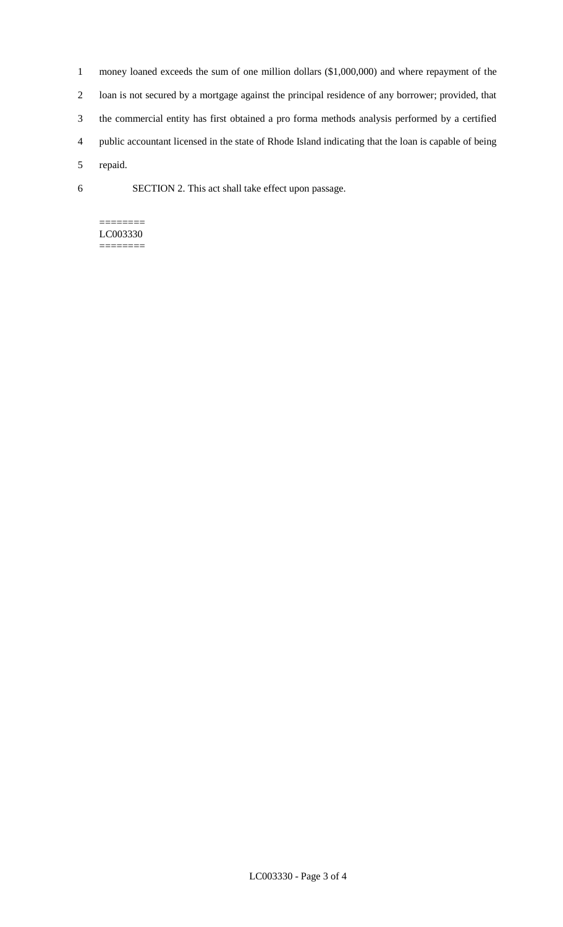- 1 money loaned exceeds the sum of one million dollars (\$1,000,000) and where repayment of the 2 loan is not secured by a mortgage against the principal residence of any borrower; provided, that 3 the commercial entity has first obtained a pro forma methods analysis performed by a certified 4 public accountant licensed in the state of Rhode Island indicating that the loan is capable of being 5 repaid.
- 6 SECTION 2. This act shall take effect upon passage.

#### ======== LC003330 ========